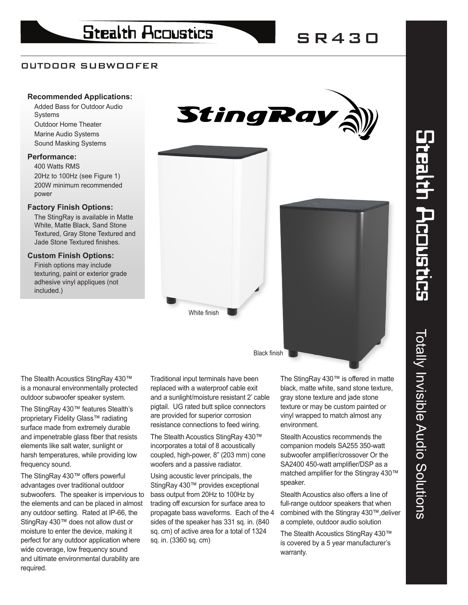# OUTDOOR SUBWOOFER

# **Recommended Applications:**

Added Bass for Outdoor Audio **Systems** Outdoor Home Theater Marine Audio Systems Sound Masking Systems

## **Performance:**

400 Watts RMS 20Hz to 100Hz (see Figure 1) 200W minimum recommended power

### **Factory Finish Options:**

The StingRay is available in Matte White, Matte Black, Sand Stone Textured, Gray Stone Textured and Jade Stone Textured finishes.

# **Custom Finish Options:**

Finish options may include texturing, paint or exterior grade adhesive vinyl appliques (not included.)





The Stealth Acoustics StingRay 430™ is a monaural environmentally protected outdoor subwoofer speaker system.

The StingRay 430™ features Stealth's proprietary Fidelity Glass™ radiating surface made from extremely durable and impenetrable glass fiber that resists elements like salt water, sunlight or harsh temperatures, while providing low frequency sound.

The StingRay 430™ offers powerful advantages over traditional outdoor subwoofers. The speaker is impervious to the elements and can be placed in almost any outdoor setting. Rated at IP-66, the StingRay 430™ does not allow dust or moisture to enter the device, making it perfect for any outdoor application where wide coverage, low frequency sound and ultimate environmental durability are required.

Traditional input terminals have been replaced with a waterproof cable exit and a sunlight/moisture resistant 2' cable pigtail. UG rated butt splice connectors are provided for superior corrosion resistance connections to feed wiring.

White finish

The Stealth Acoustics StingRay 430™ incorporates a total of 8 acoustically coupled, high-power, 8" (203 mm) cone woofers and a passive radiator.

Using acoustic lever principals, the StingRay 430™ provides exceptional bass output from 20Hz to 100Hz by trading off excursion for surface area to propagate bass waveforms. Each of the 4 sides of the speaker has 331 sq. in. (840 sq. cm) of active area for a total of 1324 sq. in. (3360 sq. cm)

The StingRay 430™ is offered in matte black, matte white, sand stone texture, gray stone texture and jade stone texture or may be custom painted or vinyl wrapped to match almost any environment.

Stealth Acoustics recommends the companion models SA255 350-watt subwoofer amplifier/crossover Or the SA2400 450-watt amplifier/DSP as a matched amplifier for the Stingray 430™ speaker.

Stealth Acoustics also offers a line of full-range outdoor speakers that when combined with the Stingray 430™,deliver a complete, outdoor audio solution

The Stealth Acoustics StingRay 430™ is covered by a 5 year manufacturer's warranty.